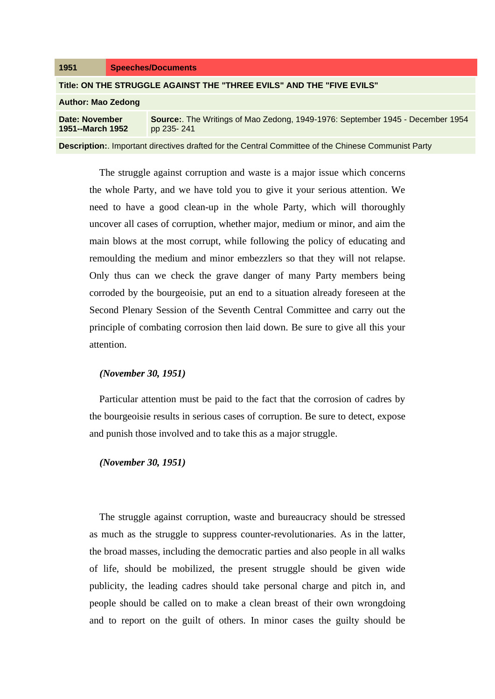#### **1951 Speeches/Documents**

#### **Title: ON THE STRUGGLE AGAINST THE "THREE EVILS" AND THE "FIVE EVILS"**

#### **Author: Mao Zedong**

**Date: November 1951--March 1952 Source:**. The Writings of Mao Zedong, 1949-1976: September 1945 - December 1954 pp 235- 241 **Description:**. Important directives drafted for the Central Committee of the Chinese Communist Party

The struggle against corruption and waste is a major issue which concerns the whole Party, and we have told you to give it your serious attention. We need to have a good clean-up in the whole Party, which will thoroughly uncover all cases of corruption, whether major, medium or minor, and aim the main blows at the most corrupt, while following the policy of educating and remoulding the medium and minor embezzlers so that they will not relapse. Only thus can we check the grave danger of many Party members being corroded by the bourgeoisie, put an end to a situation already foreseen at the Second Plenary Session of the Seventh Central Committee and carry out the principle of combating corrosion then laid down. Be sure to give all this your attention.

### *(November 30, 1951)*

Particular attention must be paid to the fact that the corrosion of cadres by the bourgeoisie results in serious cases of corruption. Be sure to detect, expose and punish those involved and to take this as a major struggle.

#### *(November 30, 1951)*

The struggle against corruption, waste and bureaucracy should be stressed as much as the struggle to suppress counter-revolutionaries. As in the latter, the broad masses, including the democratic parties and also people in all walks of life, should be mobilized, the present struggle should be given wide publicity, the leading cadres should take personal charge and pitch in, and people should be called on to make a clean breast of their own wrongdoing and to report on the guilt of others. In minor cases the guilty should be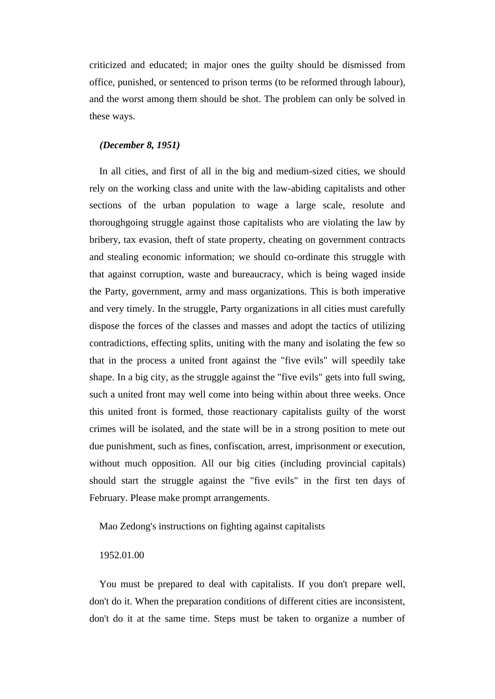criticized and educated; in major ones the guilty should be dismissed from office, punished, or sentenced to prison terms (to be reformed through labour), and the worst among them should be shot. The problem can only be solved in these ways.

### *(December 8, 1951)*

In all cities, and first of all in the big and medium-sized cities, we should rely on the working class and unite with the law-abiding capitalists and other sections of the urban population to wage a large scale, resolute and thoroughgoing struggle against those capitalists who are violating the law by bribery, tax evasion, theft of state property, cheating on government contracts and stealing economic information; we should co-ordinate this struggle with that against corruption, waste and bureaucracy, which is being waged inside the Party, government, army and mass organizations. This is both imperative and very timely. In the struggle, Party organizations in all cities must carefully dispose the forces of the classes and masses and adopt the tactics of utilizing contradictions, effecting splits, uniting with the many and isolating the few so that in the process a united front against the "five evils" will speedily take shape. In a big city, as the struggle against the "five evils" gets into full swing, such a united front may well come into being within about three weeks. Once this united front is formed, those reactionary capitalists guilty of the worst crimes will be isolated, and the state will be in a strong position to mete out due punishment, such as fines, confiscation, arrest, imprisonment or execution, without much opposition. All our big cities (including provincial capitals) should start the struggle against the "five evils" in the first ten days of February. Please make prompt arrangements.

#### Mao Zedong's instructions on fighting against capitalists

#### 1952.01.00

You must be prepared to deal with capitalists. If you don't prepare well, don't do it. When the preparation conditions of different cities are inconsistent, don't do it at the same time. Steps must be taken to organize a number of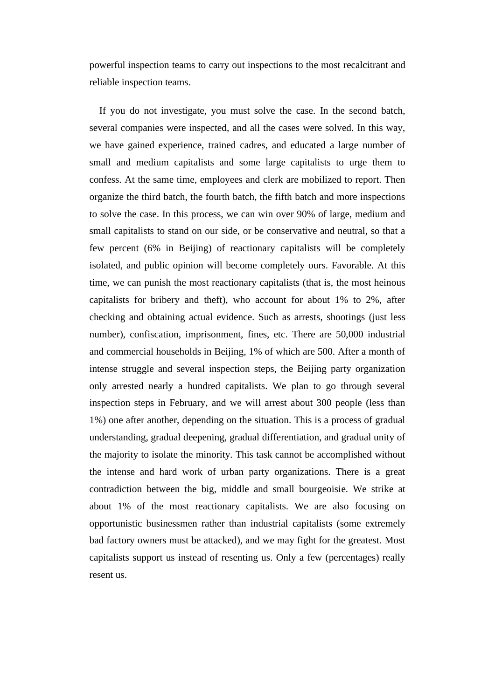powerful inspection teams to carry out inspections to the most recalcitrant and reliable inspection teams.

If you do not investigate, you must solve the case. In the second batch, several companies were inspected, and all the cases were solved. In this way, we have gained experience, trained cadres, and educated a large number of small and medium capitalists and some large capitalists to urge them to confess. At the same time, employees and clerk are mobilized to report. Then organize the third batch, the fourth batch, the fifth batch and more inspections to solve the case. In this process, we can win over 90% of large, medium and small capitalists to stand on our side, or be conservative and neutral, so that a few percent (6% in Beijing) of reactionary capitalists will be completely isolated, and public opinion will become completely ours. Favorable. At this time, we can punish the most reactionary capitalists (that is, the most heinous capitalists for bribery and theft), who account for about 1% to 2%, after checking and obtaining actual evidence. Such as arrests, shootings (just less number), confiscation, imprisonment, fines, etc. There are 50,000 industrial and commercial households in Beijing, 1% of which are 500. After a month of intense struggle and several inspection steps, the Beijing party organization only arrested nearly a hundred capitalists. We plan to go through several inspection steps in February, and we will arrest about 300 people (less than 1%) one after another, depending on the situation. This is a process of gradual understanding, gradual deepening, gradual differentiation, and gradual unity of the majority to isolate the minority. This task cannot be accomplished without the intense and hard work of urban party organizations. There is a great contradiction between the big, middle and small bourgeoisie. We strike at about 1% of the most reactionary capitalists. We are also focusing on opportunistic businessmen rather than industrial capitalists (some extremely bad factory owners must be attacked), and we may fight for the greatest. Most capitalists support us instead of resenting us. Only a few (percentages) really resent us.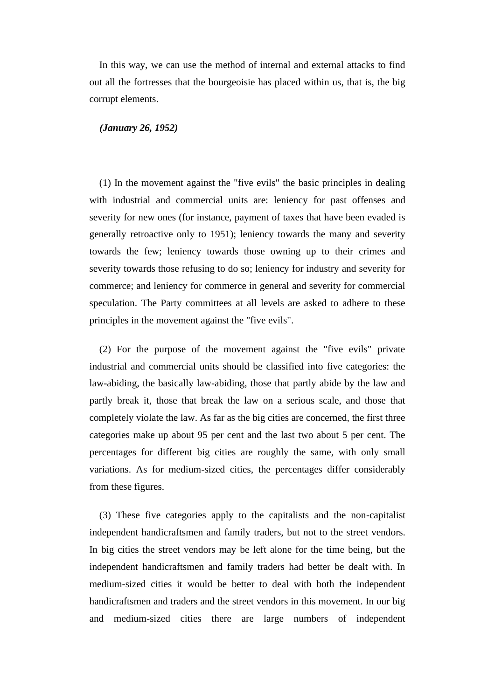In this way, we can use the method of internal and external attacks to find out all the fortresses that the bourgeoisie has placed within us, that is, the big corrupt elements.

#### *(January 26, 1952)*

(1) In the movement against the "five evils" the basic principles in dealing with industrial and commercial units are: leniency for past offenses and severity for new ones (for instance, payment of taxes that have been evaded is generally retroactive only to 1951); leniency towards the many and severity towards the few; leniency towards those owning up to their crimes and severity towards those refusing to do so; leniency for industry and severity for commerce; and leniency for commerce in general and severity for commercial speculation. The Party committees at all levels are asked to adhere to these principles in the movement against the "five evils".

(2) For the purpose of the movement against the "five evils" private industrial and commercial units should be classified into five categories: the law-abiding, the basically law-abiding, those that partly abide by the law and partly break it, those that break the law on a serious scale, and those that completely violate the law. As far as the big cities are concerned, the first three categories make up about 95 per cent and the last two about 5 per cent. The percentages for different big cities are roughly the same, with only small variations. As for medium-sized cities, the percentages differ considerably from these figures.

(3) These five categories apply to the capitalists and the non-capitalist independent handicraftsmen and family traders, but not to the street vendors. In big cities the street vendors may be left alone for the time being, but the independent handicraftsmen and family traders had better be dealt with. In medium-sized cities it would be better to deal with both the independent handicraftsmen and traders and the street vendors in this movement. In our big and medium-sized cities there are large numbers of independent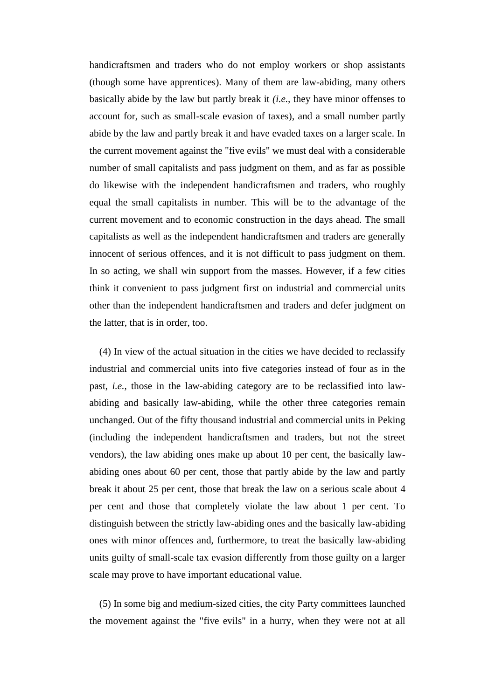handicraftsmen and traders who do not employ workers or shop assistants (though some have apprentices). Many of them are law-abiding, many others basically abide by the law but partly break it *(i.e.,* they have minor offenses to account for, such as small-scale evasion of taxes), and a small number partly abide by the law and partly break it and have evaded taxes on a larger scale. In the current movement against the "five evils" we must deal with a considerable number of small capitalists and pass judgment on them, and as far as possible do likewise with the independent handicraftsmen and traders, who roughly equal the small capitalists in number. This will be to the advantage of the current movement and to economic construction in the days ahead. The small capitalists as well as the independent handicraftsmen and traders are generally innocent of serious offences, and it is not difficult to pass judgment on them. In so acting, we shall win support from the masses. However, if a few cities think it convenient to pass judgment first on industrial and commercial units other than the independent handicraftsmen and traders and defer judgment on the latter, that is in order, too.

(4) In view of the actual situation in the cities we have decided to reclassify industrial and commercial units into five categories instead of four as in the past, *i.e.,* those in the law-abiding category are to be reclassified into lawabiding and basically law-abiding, while the other three categories remain unchanged. Out of the fifty thousand industrial and commercial units in Peking (including the independent handicraftsmen and traders, but not the street vendors), the law abiding ones make up about 10 per cent, the basically lawabiding ones about 60 per cent, those that partly abide by the law and partly break it about 25 per cent, those that break the law on a serious scale about 4 per cent and those that completely violate the law about 1 per cent. To distinguish between the strictly law-abiding ones and the basically law-abiding ones with minor offences and, furthermore, to treat the basically law-abiding units guilty of small-scale tax evasion differently from those guilty on a larger scale may prove to have important educational value.

(5) In some big and medium-sized cities, the city Party committees launched the movement against the "five evils" in a hurry, when they were not at all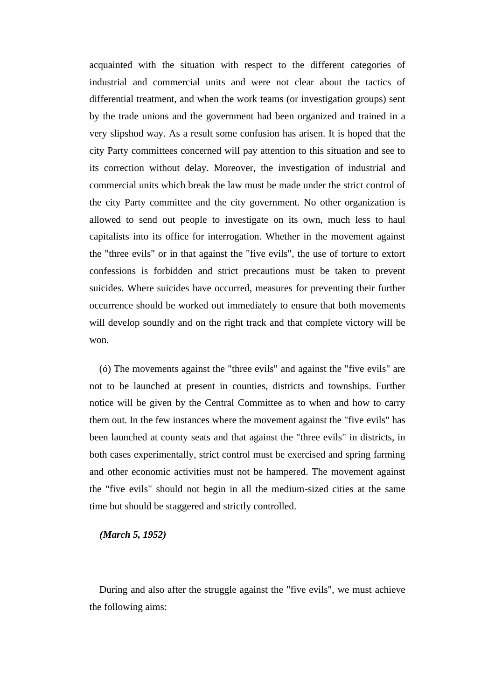acquainted with the situation with respect to the different categories of industrial and commercial units and were not clear about the tactics of differential treatment, and when the work teams (or investigation groups) sent by the trade unions and the government had been organized and trained in a very slipshod way. As a result some confusion has arisen. It is hoped that the city Party committees concerned will pay attention to this situation and see to its correction without delay. Moreover, the investigation of industrial and commercial units which break the law must be made under the strict control of the city Party committee and the city government. No other organization is allowed to send out people to investigate on its own, much less to haul capitalists into its office for interrogation. Whether in the movement against the "three evils" or in that against the "five evils", the use of torture to extort confessions is forbidden and strict precautions must be taken to prevent suicides. Where suicides have occurred, measures for preventing their further occurrence should be worked out immediately to ensure that both movements will develop soundly and on the right track and that complete victory will be won.

(ó) The movements against the "three evils" and against the "five evils" are not to be launched at present in counties, districts and townships. Further notice will be given by the Central Committee as to when and how to carry them out. In the few instances where the movement against the "five evils" has been launched at county seats and that against the "three evils" in districts, in both cases experimentally, strict control must be exercised and spring farming and other economic activities must not be hampered. The movement against the "five evils" should not begin in all the medium-sized cities at the same time but should be staggered and strictly controlled.

## *(March 5, 1952)*

During and also after the struggle against the "five evils", we must achieve the following aims: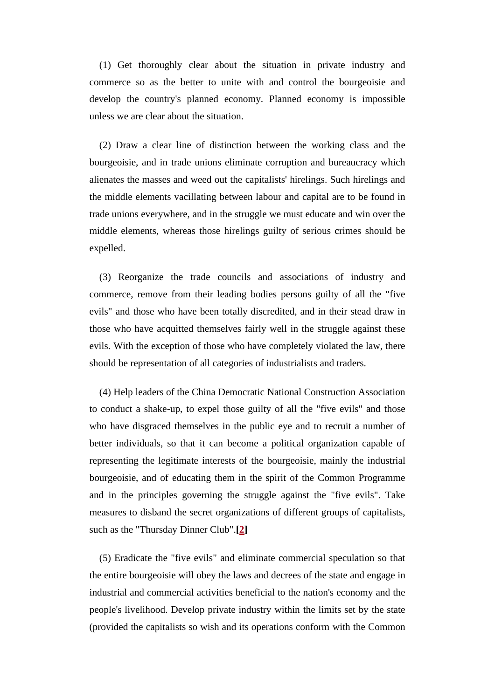(1) Get thoroughly clear about the situation in private industry and commerce so as the better to unite with and control the bourgeoisie and develop the country's planned economy. Planned economy is impossible unless we are clear about the situation.

(2) Draw a clear line of distinction between the working class and the bourgeoisie, and in trade unions eliminate corruption and bureaucracy which alienates the masses and weed out the capitalists' hirelings. Such hirelings and the middle elements vacillating between labour and capital are to be found in trade unions everywhere, and in the struggle we must educate and win over the middle elements, whereas those hirelings guilty of serious crimes should be expelled.

(3) Reorganize the trade councils and associations of industry and commerce, remove from their leading bodies persons guilty of all the "five evils" and those who have been totally discredited, and in their stead draw in those who have acquitted themselves fairly well in the struggle against these evils. With the exception of those who have completely violated the law, there should be representation of all categories of industrialists and traders.

(4) Help leaders of the China Democratic National Construction Association to conduct a shake-up, to expel those guilty of all the "five evils" and those who have disgraced themselves in the public eye and to recruit a number of better individuals, so that it can become a political organization capable of representing the legitimate interests of the bourgeoisie, mainly the industrial bourgeoisie, and of educating them in the spirit of the Common Programme and in the principles governing the struggle against the "five evils". Take measures to disband the secret organizations of different groups of capitalists, such as the "Thursday Dinner Club".**[\[2\]](http://www.marxists.org/reference/archive/mao/selected-works/volume-5/mswv5_17.htm#bm2#bm2)**

(5) Eradicate the "five evils" and eliminate commercial speculation so that the entire bourgeoisie will obey the laws and decrees of the state and engage in industrial and commercial activities beneficial to the nation's economy and the people's livelihood. Develop private industry within the limits set by the state (provided the capitalists so wish and its operations conform with the Common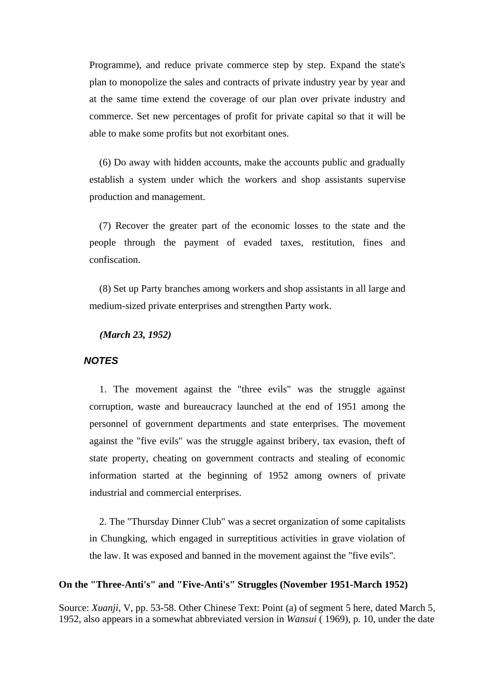Programme), and reduce private commerce step by step. Expand the state's plan to monopolize the sales and contracts of private industry year by year and at the same time extend the coverage of our plan over private industry and commerce. Set new percentages of profit for private capital so that it will be able to make some profits but not exorbitant ones.

(6) Do away with hidden accounts, make the accounts public and gradually establish a system under which the workers and shop assistants supervise production and management.

(7) Recover the greater part of the economic losses to the state and the people through the payment of evaded taxes, restitution, fines and confiscation.

(8) Set up Party branches among workers and shop assistants in all large and medium-sized private enterprises and strengthen Party work.

*(March 23, 1952)* 

## *NOTES*

1. The movement against the "three evils" was the struggle against corruption, waste and bureaucracy launched at the end of 1951 among the personnel of government departments and state enterprises. The movement against the "five evils" was the struggle against bribery, tax evasion, theft of state property, cheating on government contracts and stealing of economic information started at the beginning of 1952 among owners of private industrial and commercial enterprises.

2. The "Thursday Dinner Club" was a secret organization of some capitalists in Chungking, which engaged in surreptitious activities in grave violation of the law. It was exposed and banned in the movement against the "five evils".

### **On the "Three-Anti's" and "Five-Anti's" Struggles (November 1951-March 1952)**

Source: *Xuanji*, V, pp. 53-58. Other Chinese Text: Point (a) of segment 5 here, dated March 5, 1952, also appears in a somewhat abbreviated version in *Wansui* ( 1969), p. 10, under the date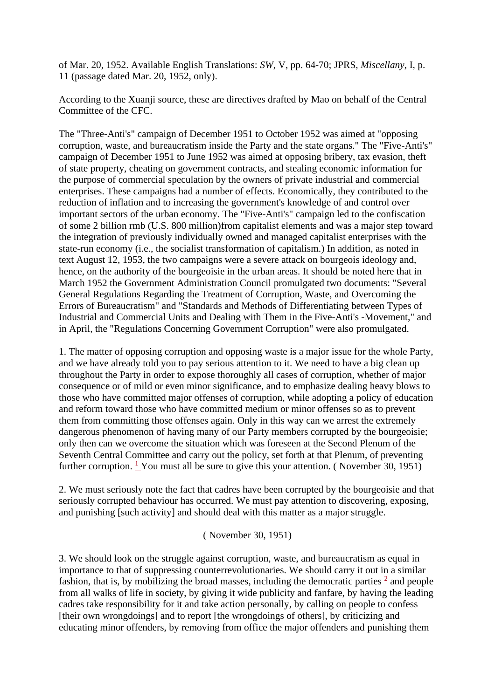of Mar. 20, 1952. Available English Translations: *SW*, V, pp. 64-70; JPRS, *Miscellany*, I, p. 11 (passage dated Mar. 20, 1952, only).

According to the Xuanji source, these are directives drafted by Mao on behalf of the Central Committee of the CFC.

The "Three-Anti's" campaign of December 1951 to October 1952 was aimed at "opposing corruption, waste, and bureaucratism inside the Party and the state organs." The "Five-Anti's" campaign of December 1951 to June 1952 was aimed at opposing bribery, tax evasion, theft of state property, cheating on government contracts, and stealing economic information for the purpose of commercial speculation by the owners of private industrial and commercial enterprises. These campaigns had a number of effects. Economically, they contributed to the reduction of inflation and to increasing the government's knowledge of and control over important sectors of the urban economy. The "Five-Anti's" campaign led to the confiscation of some 2 billion rmb (U.S. 800 million)from capitalist elements and was a major step toward the integration of previously individually owned and managed capitalist enterprises with the state-run economy (i.e., the socialist transformation of capitalism.) In addition, as noted in text August 12, 1953, the two campaigns were a severe attack on bourgeois ideology and, hence, on the authority of the bourgeoisie in the urban areas. It should be noted here that in March 1952 the Government Administration Council promulgated two documents: "Several General Regulations Regarding the Treatment of Corruption, Waste, and Overcoming the Errors of Bureaucratism" and "Standards and Methods of Differentiating between Types of Industrial and Commercial Units and Dealing with Them in the Five-Anti's -Movement," and in April, the "Regulations Concerning Government Corruption" were also promulgated.

1. The matter of opposing corruption and opposing waste is a major issue for the whole Party, and we have already told you to pay serious attention to it. We need to have a big clean up throughout the Party in order to expose thoroughly all cases of corruption, whether of major consequence or of mild or even minor significance, and to emphasize dealing heavy blows to those who have committed major offenses of corruption, while adopting a policy of education and reform toward those who have committed medium or minor offenses so as to prevent them from committing those offenses again. Only in this way can we arrest the extremely dangerous phenomenon of having many of our Party members corrupted by the bourgeoisie; only then can we overcome the situation which was foreseen at the Second Plenum of the Seventh Central Committee and carry out the policy, set forth at that Plenum, of preventing further corruption.  $\frac{1}{2}$  $\frac{1}{2}$  $\frac{1}{2}$  You must all be sure to give this your attention. (November 30, 1951)

2. We must seriously note the fact that cadres have been corrupted by the bourgeoisie and that seriously corrupted behaviour has occurred. We must pay attention to discovering, exposing, and punishing [such activity] and should deal with this matter as a major struggle.

( November 30, 1951)

3. We should look on the struggle against corruption, waste, and bureaucratism as equal in importance to that of suppressing counterrevolutionaries. We should carry it out in a similar fashion, that is, by mobilizing the broad masses, including the democratic parties  $\frac{2}{3}$  $\frac{2}{3}$  $\frac{2}{3}$  and people from all walks of life in society, by giving it wide publicity and fanfare, by having the leading cadres take responsibility for it and take action personally, by calling on people to confess [their own wrongdoings] and to report [the wrongdoings of others], by criticizing and educating minor offenders, by removing from office the major offenders and punishing them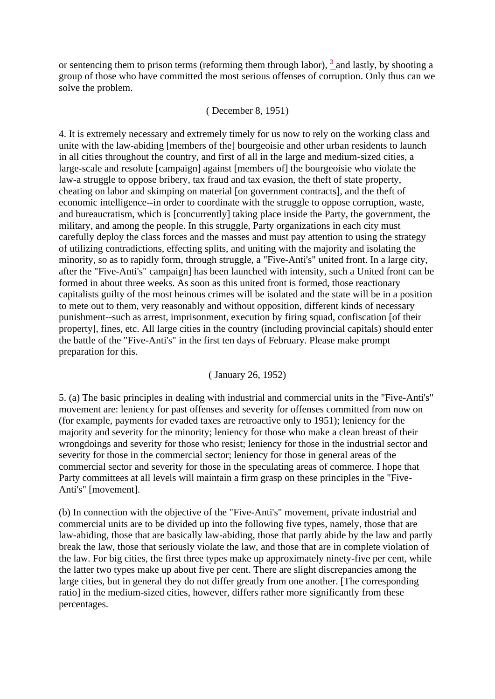or sentencing them to prison terms (reforming them through labor),  $\frac{3}{2}$  $\frac{3}{2}$  $\frac{3}{2}$  and lastly, by shooting a group of those who have committed the most serious offenses of corruption. Only thus can we solve the problem.

## ( December 8, 1951)

4. It is extremely necessary and extremely timely for us now to rely on the working class and unite with the law-abiding [members of the] bourgeoisie and other urban residents to launch in all cities throughout the country, and first of all in the large and medium-sized cities, a large-scale and resolute [campaign] against [members of] the bourgeoisie who violate the law-a struggle to oppose bribery, tax fraud and tax evasion, the theft of state property, cheating on labor and skimping on material [on government contracts], and the theft of economic intelligence--in order to coordinate with the struggle to oppose corruption, waste, and bureaucratism, which is [concurrently] taking place inside the Party, the government, the military, and among the people. In this struggle, Party organizations in each city must carefully deploy the class forces and the masses and must pay attention to using the strategy of utilizing contradictions, effecting splits, and uniting with the majority and isolating the minority, so as to rapidly form, through struggle, a "Five-Anti's" united front. In a large city, after the "Five-Anti's" campaign] has been launched with intensity, such a United front can be formed in about three weeks. As soon as this united front is formed, those reactionary capitalists guilty of the most heinous crimes will be isolated and the state will be in a position to mete out to them, very reasonably and without opposition, different kinds of necessary punishment--such as arrest, imprisonment, execution by firing squad, confiscation [of their property], fines, etc. All large cities in the country (including provincial capitals) should enter the battle of the "Five-Anti's" in the first ten days of February. Please make prompt preparation for this.

( January 26, 1952)

5. (a) The basic principles in dealing with industrial and commercial units in the "Five-Anti's" movement are: leniency for past offenses and severity for offenses committed from now on (for example, payments for evaded taxes are retroactive only to 1951); leniency for the majority and severity for the minority; leniency for those who make a clean breast of their wrongdoings and severity for those who resist; leniency for those in the industrial sector and severity for those in the commercial sector; leniency for those in general areas of the commercial sector and severity for those in the speculating areas of commerce. I hope that Party committees at all levels will maintain a firm grasp on these principles in the "Five-Anti's" [movement].

(b) In connection with the objective of the "Five-Anti's" movement, private industrial and commercial units are to be divided up into the following five types, namely, those that are law-abiding, those that are basically law-abiding, those that partly abide by the law and partly break the law, those that seriously violate the law, and those that are in complete violation of the law. For big cities, the first three types make up approximately ninety-five per cent, while the latter two types make up about five per cent. There are slight discrepancies among the large cities, but in general they do not differ greatly from one another. [The corresponding ratio] in the medium-sized cities, however, differs rather more significantly from these percentages.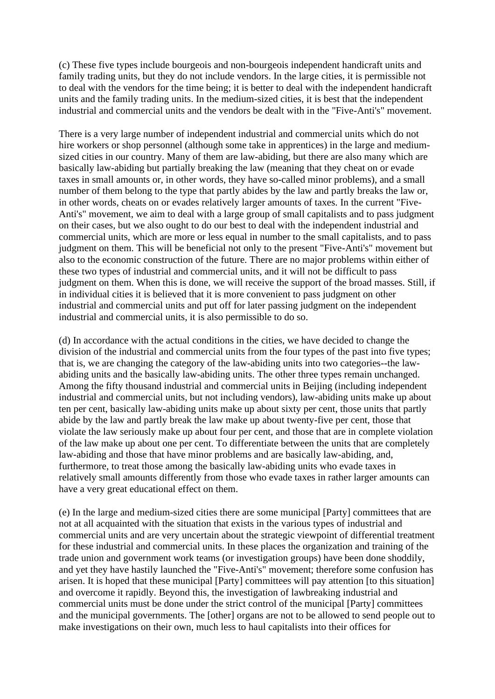(c) These five types include bourgeois and non-bourgeois independent handicraft units and family trading units, but they do not include vendors. In the large cities, it is permissible not to deal with the vendors for the time being; it is better to deal with the independent handicraft units and the family trading units. In the medium-sized cities, it is best that the independent industrial and commercial units and the vendors be dealt with in the "Five-Anti's" movement.

There is a very large number of independent industrial and commercial units which do not hire workers or shop personnel (although some take in apprentices) in the large and mediumsized cities in our country. Many of them are law-abiding, but there are also many which are basically law-abiding but partially breaking the law (meaning that they cheat on or evade taxes in small amounts or, in other words, they have so-called minor problems), and a small number of them belong to the type that partly abides by the law and partly breaks the law or, in other words, cheats on or evades relatively larger amounts of taxes. In the current "Five-Anti's" movement, we aim to deal with a large group of small capitalists and to pass judgment on their cases, but we also ought to do our best to deal with the independent industrial and commercial units, which are more or less equal in number to the small capitalists, and to pass judgment on them. This will be beneficial not only to the present "Five-Anti's" movement but also to the economic construction of the future. There are no major problems within either of these two types of industrial and commercial units, and it will not be difficult to pass judgment on them. When this is done, we will receive the support of the broad masses. Still, if in individual cities it is believed that it is more convenient to pass judgment on other industrial and commercial units and put off for later passing judgment on the independent industrial and commercial units, it is also permissible to do so.

(d) In accordance with the actual conditions in the cities, we have decided to change the division of the industrial and commercial units from the four types of the past into five types; that is, we are changing the category of the law-abiding units into two categories--the lawabiding units and the basically law-abiding units. The other three types remain unchanged. Among the fifty thousand industrial and commercial units in Beijing (including independent industrial and commercial units, but not including vendors), law-abiding units make up about ten per cent, basically law-abiding units make up about sixty per cent, those units that partly abide by the law and partly break the law make up about twenty-five per cent, those that violate the law seriously make up about four per cent, and those that are in complete violation of the law make up about one per cent. To differentiate between the units that are completely law-abiding and those that have minor problems and are basically law-abiding, and, furthermore, to treat those among the basically law-abiding units who evade taxes in relatively small amounts differently from those who evade taxes in rather larger amounts can have a very great educational effect on them.

(e) In the large and medium-sized cities there are some municipal [Party] committees that are not at all acquainted with the situation that exists in the various types of industrial and commercial units and are very uncertain about the strategic viewpoint of differential treatment for these industrial and commercial units. In these places the organization and training of the trade union and government work teams (or investigation groups) have been done shoddily, and yet they have hastily launched the "Five-Anti's" movement; therefore some confusion has arisen. It is hoped that these municipal [Party] committees will pay attention [to this situation] and overcome it rapidly. Beyond this, the investigation of lawbreaking industrial and commercial units must be done under the strict control of the municipal [Party] committees and the municipal governments. The [other] organs are not to be allowed to send people out to make investigations on their own, much less to haul capitalists into their offices for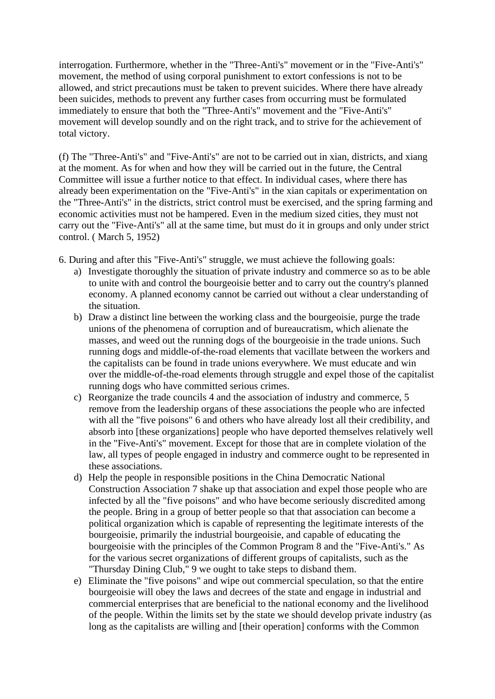interrogation. Furthermore, whether in the "Three-Anti's" movement or in the "Five-Anti's" movement, the method of using corporal punishment to extort confessions is not to be allowed, and strict precautions must be taken to prevent suicides. Where there have already been suicides, methods to prevent any further cases from occurring must be formulated immediately to ensure that both the "Three-Anti's" movement and the "Five-Anti's" movement will develop soundly and on the right track, and to strive for the achievement of total victory.

(f) The "Three-Anti's" and "Five-Anti's" are not to be carried out in xian, districts, and xiang at the moment. As for when and how they will be carried out in the future, the Central Committee will issue a further notice to that effect. In individual cases, where there has already been experimentation on the "Five-Anti's" in the xian capitals or experimentation on the "Three-Anti's" in the districts, strict control must be exercised, and the spring farming and economic activities must not be hampered. Even in the medium sized cities, they must not carry out the "Five-Anti's" all at the same time, but must do it in groups and only under strict control. ( March 5, 1952)

6. During and after this "Five-Anti's" struggle, we must achieve the following goals:

- a) Investigate thoroughly the situation of private industry and commerce so as to be able to unite with and control the bourgeoisie better and to carry out the country's planned economy. A planned economy cannot be carried out without a clear understanding of the situation.
- b) Draw a distinct line between the working class and the bourgeoisie, purge the trade unions of the phenomena of corruption and of bureaucratism, which alienate the masses, and weed out the running dogs of the bourgeoisie in the trade unions. Such running dogs and middle-of-the-road elements that vacillate between the workers and the capitalists can be found in trade unions everywhere. We must educate and win over the middle-of-the-road elements through struggle and expel those of the capitalist running dogs who have committed serious crimes.
- c) Reorganize the trade councils 4 and the association of industry and commerce, 5 remove from the leadership organs of these associations the people who are infected with all the "five poisons" 6 and others who have already lost all their credibility, and absorb into [these organizations] people who have deported themselves relatively well in the "Five-Anti's" movement. Except for those that are in complete violation of the law, all types of people engaged in industry and commerce ought to be represented in these associations.
- d) Help the people in responsible positions in the China Democratic National Construction Association 7 shake up that association and expel those people who are infected by all the "five poisons" and who have become seriously discredited among the people. Bring in a group of better people so that that association can become a political organization which is capable of representing the legitimate interests of the bourgeoisie, primarily the industrial bourgeoisie, and capable of educating the bourgeoisie with the principles of the Common Program 8 and the "Five-Anti's." As for the various secret organizations of different groups of capitalists, such as the "Thursday Dining Club," 9 we ought to take steps to disband them.
- e) Eliminate the "five poisons" and wipe out commercial speculation, so that the entire bourgeoisie will obey the laws and decrees of the state and engage in industrial and commercial enterprises that are beneficial to the national economy and the livelihood of the people. Within the limits set by the state we should develop private industry (as long as the capitalists are willing and [their operation] conforms with the Common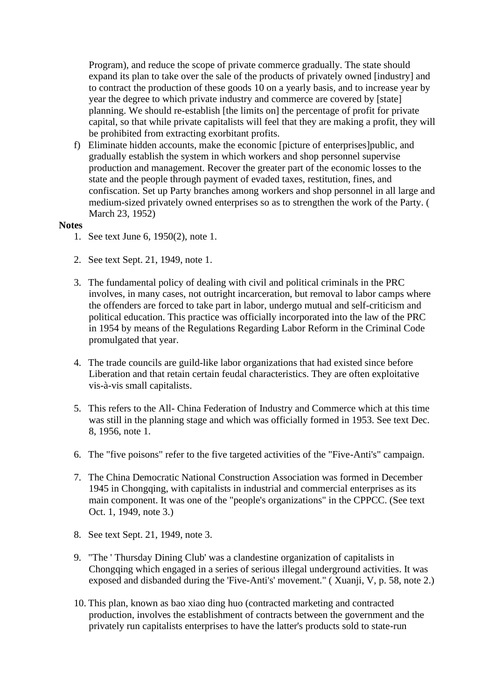Program), and reduce the scope of private commerce gradually. The state should expand its plan to take over the sale of the products of privately owned [industry] and to contract the production of these goods  $10$  on a yearly basis, and to increase year by year the degree to which private industry and commerce are covered by [state] planning. We should re-establish [the limits on] the percentage of profit for private capital, so that while private capitalists will feel that they are making a profit, they will be prohibited from extracting exorbitant profits.

f) Eliminate hidden accounts, make the economic [picture of enterprises]public, and gradually establish the system in which workers and shop personnel supervise production and management. Recover the greater part of the economic losses to the state and the people through payment of evaded taxes, restitution, fines, and confiscation. Set up Party branches among workers and shop personnel in all large and medium-sized privately owned enterprises so as to strengthen the work of the Party. ( March 23, 1952)

# **Notes**

- 1. See text June 6, 1950(2), note 1.
- 2. See text Sept. 21, 1949, note 1.
- 3. The fundamental policy of dealing with civil and political criminals in the PRC involves, in many cases, not outright incarceration, but removal to labor camps where the offenders are forced to take part in labor, undergo mutual and self-criticism and political education. This practice was officially incorporated into the law of the PRC in 1954 by means of the Regulations Regarding Labor Reform in the Criminal Code promulgated that year.
- 4. The trade councils are guild-like labor organizations that had existed since before Liberation and that retain certain feudal characteristics. They are often exploitative vis-à-vis small capitalists.
- 5. This refers to the All- China Federation of Industry and Commerce which at this time was still in the planning stage and which was officially formed in 1953. See text Dec. 8, 1956, note 1.
- 6. The "five poisons" refer to the five targeted activities of the "Five-Anti's" campaign.
- 7. The China Democratic National Construction Association was formed in December 1945 in Chongqing, with capitalists in industrial and commercial enterprises as its main component. It was one of the "people's organizations" in the CPPCC. (See text Oct. 1, 1949, note 3.)
- 8. See text Sept. 21, 1949, note 3.
- 9. "The ' Thursday Dining Club' was a clandestine organization of capitalists in Chongqing which engaged in a series of serious illegal underground activities. It was exposed and disbanded during the 'Five-Anti's' movement." ( Xuanji, V, p. 58, note 2.)
- 10. This plan, known as bao xiao ding huo (contracted marketing and contracted production, involves the establishment of contracts between the government and the privately run capitalists enterprises to have the latter's products sold to state-run